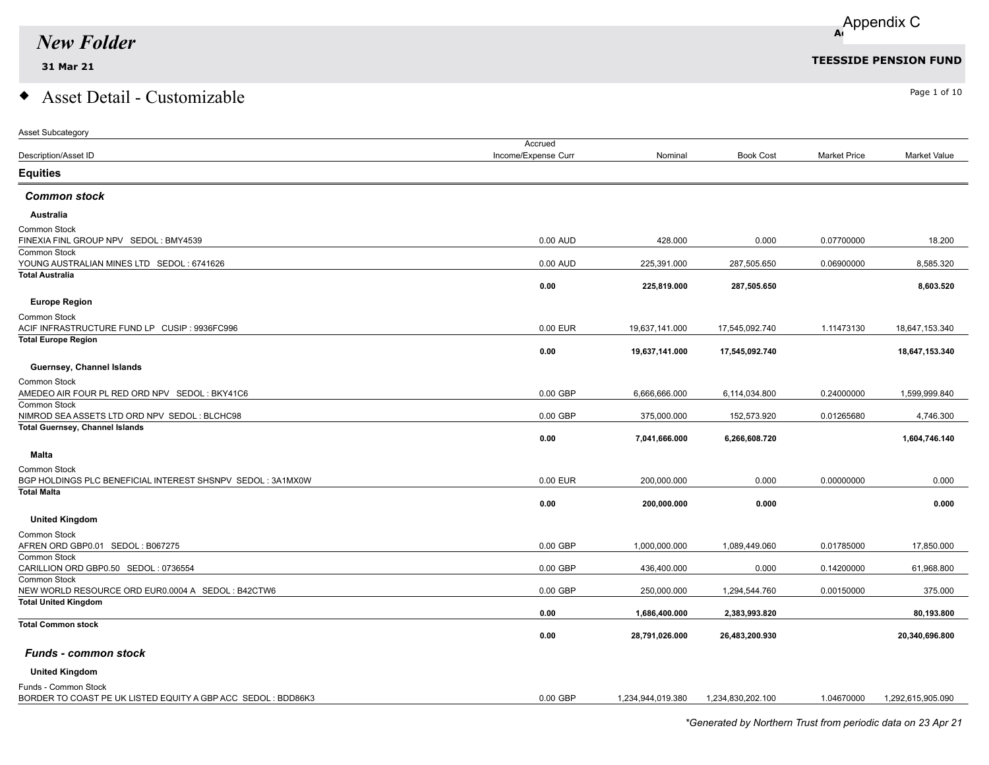Asset Subcategory

# $\bullet$  Asset Detail - Customizable  $\bullet$

|                                                                | Accrued             |                   |                   |                     |                     |
|----------------------------------------------------------------|---------------------|-------------------|-------------------|---------------------|---------------------|
| Description/Asset ID                                           | Income/Expense Curr | Nominal           | <b>Book Cost</b>  | <b>Market Price</b> | <b>Market Value</b> |
| Equities                                                       |                     |                   |                   |                     |                     |
| <b>Common stock</b>                                            |                     |                   |                   |                     |                     |
| <b>Australia</b>                                               |                     |                   |                   |                     |                     |
| Common Stock                                                   |                     |                   |                   |                     |                     |
| FINEXIA FINL GROUP NPV SEDOL: BMY4539                          | 0.00 AUD            | 428.000           | 0.000             | 0.07700000          | 18.200              |
| Common Stock                                                   |                     |                   |                   |                     |                     |
| YOUNG AUSTRALIAN MINES LTD SEDOL: 6741626<br>Total Australia   | $0.00$ AUD          | 225,391.000       | 287,505.650       | 0.06900000          | 8,585.320           |
|                                                                | 0.00                | 225,819.000       | 287,505.650       |                     | 8,603.520           |
|                                                                |                     |                   |                   |                     |                     |
| <b>Europe Region</b>                                           |                     |                   |                   |                     |                     |
| Common Stock                                                   |                     |                   |                   |                     |                     |
| ACIF INFRASTRUCTURE FUND LP CUSIP : 9936FC996                  | 0.00 EUR            | 19,637,141.000    | 17,545,092.740    | 1.11473130          | 18,647,153.340      |
| <b>Total Europe Region</b>                                     | 0.00                | 19,637,141.000    | 17,545,092.740    |                     | 18,647,153.340      |
|                                                                |                     |                   |                   |                     |                     |
| Guernsey, Channel Islands                                      |                     |                   |                   |                     |                     |
| Common Stock                                                   |                     |                   |                   |                     |                     |
| AMEDEO AIR FOUR PL RED ORD NPV SEDOL : BKY41C6<br>Common Stock | $0.00$ GBP          | 6,666,666.000     | 6,114,034.800     | 0.24000000          | 1,599,999.840       |
| NIMROD SEA ASSETS LTD ORD NPV SEDOL : BLCHC98                  | 0.00 GBP            | 375,000.000       | 152,573.920       | 0.01265680          | 4,746.300           |
| <b>Total Guernsey, Channel Islands</b>                         |                     |                   |                   |                     |                     |
|                                                                | 0.00                | 7,041,666.000     | 6,266,608.720     |                     | 1,604,746.140       |
| Malta                                                          |                     |                   |                   |                     |                     |
| Common Stock                                                   |                     |                   |                   |                     |                     |
| BGP HOLDINGS PLC BENEFICIAL INTEREST SHSNPV SEDOL : 3A1MX0W    | 0.00 EUR            | 200,000.000       | 0.000             | 0.00000000          | 0.000               |
| <b>Total Malta</b>                                             |                     |                   |                   |                     |                     |
|                                                                | 0.00                | 200,000.000       | 0.000             |                     | 0.000               |
| <b>United Kingdom</b>                                          |                     |                   |                   |                     |                     |
| Common Stock                                                   |                     |                   |                   |                     |                     |
| AFREN ORD GBP0.01 SEDOL: B067275                               | 0.00 GBP            | 1,000,000.000     | 1,089,449.060     | 0.01785000          | 17,850.000          |
| Common Stock                                                   |                     |                   |                   |                     |                     |
| CARILLION ORD GBP0.50 SEDOL: 0736554                           | 0.00 GBP            | 436,400.000       | 0.000             | 0.14200000          | 61,968.800          |
| Common Stock                                                   |                     |                   |                   |                     |                     |
| NEW WORLD RESOURCE ORD EUR0.0004 A SEDOL : B42CTW6             | $0.00$ GBP          | 250,000.000       | 1,294,544.760     | 0.00150000          | 375.000             |
| <b>Total United Kingdom</b>                                    | 0.00                | 1,686,400.000     | 2,383,993.820     |                     | 80,193.800          |
| <b>Total Common stock</b>                                      |                     |                   |                   |                     |                     |
|                                                                | 0.00                | 28,791,026.000    | 26,483,200.930    |                     | 20,340,696.800      |
|                                                                |                     |                   |                   |                     |                     |
| <b>Funds - common stock</b>                                    |                     |                   |                   |                     |                     |
| <b>United Kingdom</b>                                          |                     |                   |                   |                     |                     |
| Funds - Common Stock                                           |                     |                   |                   |                     |                     |
| BORDER TO COAST PE UK LISTED EQUITY A GBP ACC SEDOL : BDD86K3  | $0.00$ GBP          | 1,234,944,019.380 | 1.234.830.202.100 | 1.04670000          | 1,292,615,905.090   |
|                                                                |                     |                   |                   |                     |                     |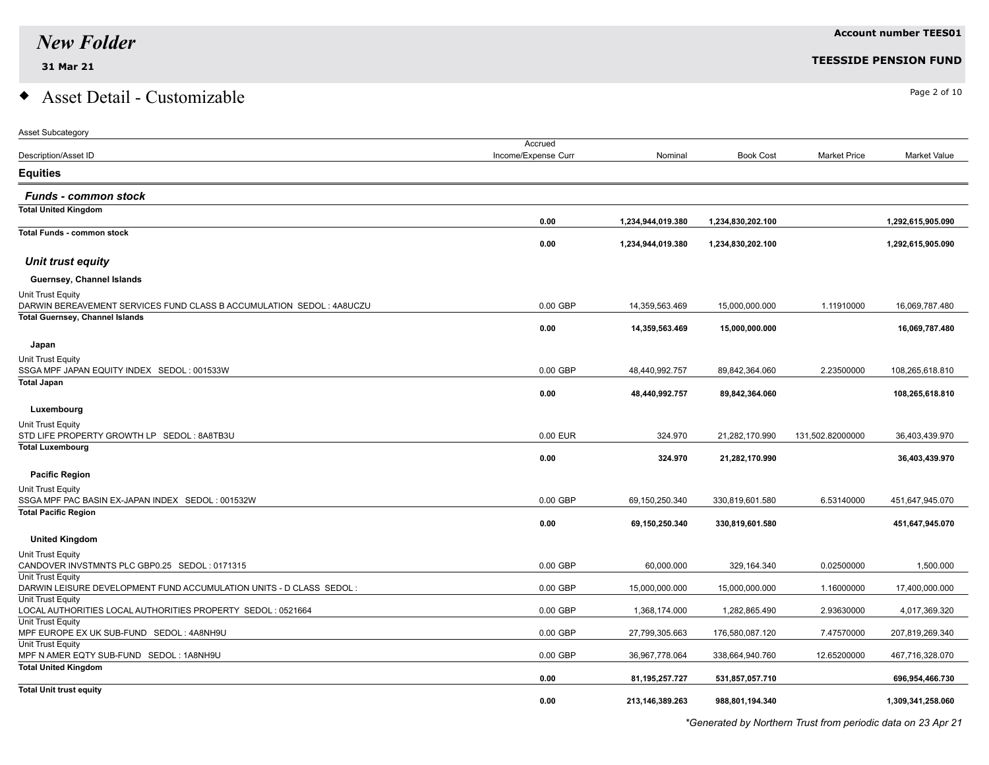#### **Account number TEES01**

#### **31 Mar 21 TEESSIDE PENSION FUND**

### $\bullet$  Asset Detail - Customizable  $\bullet$

| <b>Asset Subcategory</b>                                                         |                     |                   |                   |                     |                   |
|----------------------------------------------------------------------------------|---------------------|-------------------|-------------------|---------------------|-------------------|
|                                                                                  | Accrued             |                   |                   |                     |                   |
| Description/Asset ID                                                             | Income/Expense Curr | Nominal           | <b>Book Cost</b>  | <b>Market Price</b> | Market Value      |
| <b>Equities</b>                                                                  |                     |                   |                   |                     |                   |
| <b>Funds - common stock</b>                                                      |                     |                   |                   |                     |                   |
| <b>Total United Kingdom</b>                                                      |                     |                   |                   |                     |                   |
| <b>Total Funds - common stock</b>                                                | 0.00                | 1,234,944,019.380 | 1,234,830,202.100 |                     | 1,292,615,905.090 |
|                                                                                  | 0.00                | 1,234,944,019.380 | 1,234,830,202.100 |                     | 1,292,615,905.090 |
| Unit trust equity                                                                |                     |                   |                   |                     |                   |
| Guernsey, Channel Islands                                                        |                     |                   |                   |                     |                   |
| Unit Trust Equity                                                                |                     |                   |                   |                     |                   |
| DARWIN BEREAVEMENT SERVICES FUND CLASS B ACCUMULATION SEDOL : 4A8UCZU            | $0.00$ GBP          | 14,359,563.469    | 15,000,000.000    | 1.11910000          | 16,069,787.480    |
| <b>Total Guernsey, Channel Islands</b>                                           | 0.00                | 14,359,563.469    | 15,000,000.000    |                     | 16,069,787.480    |
| Japan                                                                            |                     |                   |                   |                     |                   |
| Unit Trust Equity                                                                |                     |                   |                   |                     |                   |
| SSGA MPF JAPAN EQUITY INDEX SEDOL: 001533W                                       | $0.00$ GBP          | 48,440,992.757    | 89,842,364.060    | 2.23500000          | 108,265,618.810   |
| <b>Total Japan</b>                                                               | 0.00                | 48,440,992.757    | 89,842,364.060    |                     | 108,265,618.810   |
|                                                                                  |                     |                   |                   |                     |                   |
| Luxembourg                                                                       |                     |                   |                   |                     |                   |
| Unit Trust Equity<br>STD LIFE PROPERTY GROWTH LP SEDOL: 8A8TB3U                  | 0.00 EUR            | 324.970           | 21,282,170.990    | 131,502.82000000    | 36,403,439.970    |
| <b>Total Luxembourg</b>                                                          |                     |                   |                   |                     |                   |
|                                                                                  | 0.00                | 324.970           | 21,282,170.990    |                     | 36,403,439.970    |
| <b>Pacific Region</b>                                                            |                     |                   |                   |                     |                   |
| Unit Trust Equity                                                                |                     |                   |                   |                     |                   |
| SSGA MPF PAC BASIN EX-JAPAN INDEX SEDOL: 001532W                                 | $0.00$ GBP          | 69,150,250.340    | 330,819,601.580   | 6.53140000          | 451,647,945.070   |
| <b>Total Pacific Region</b>                                                      | 0.00                | 69,150,250.340    | 330,819,601.580   |                     | 451,647,945.070   |
| <b>United Kingdom</b>                                                            |                     |                   |                   |                     |                   |
| Unit Trust Equity                                                                |                     |                   |                   |                     |                   |
| CANDOVER INVSTMNTS PLC GBP0.25 SEDOL: 0171315                                    | $0.00$ GBP          | 60,000.000        | 329,164.340       | 0.02500000          | 1,500.000         |
| Unit Trust Equity                                                                |                     |                   |                   |                     |                   |
| DARWIN LEISURE DEVELOPMENT FUND ACCUMULATION UNITS - D CLASS SEDOL :             | $0.00$ GBP          | 15,000,000.000    | 15,000,000.000    | 1.16000000          | 17,400,000.000    |
| Unit Trust Equity                                                                |                     |                   |                   |                     |                   |
| LOCAL AUTHORITIES LOCAL AUTHORITIES PROPERTY SEDOL: 0521664<br>Unit Trust Equity | $0.00$ GBP          | 1,368,174.000     | 1,282,865.490     | 2.93630000          | 4,017,369.320     |
| MPF EUROPE EX UK SUB-FUND SEDOL: 4A8NH9U                                         | $0.00$ GBP          | 27,799,305.663    | 176,580,087.120   | 7.47570000          | 207,819,269.340   |
| Unit Trust Equity                                                                |                     |                   |                   |                     |                   |
| MPF N AMER EQTY SUB-FUND SEDOL: 1A8NH9U                                          | $0.00$ GBP          | 36,967,778.064    | 338,664,940.760   | 12.65200000         | 467,716,328.070   |
| <b>Total United Kingdom</b>                                                      | 0.00                | 81,195,257.727    | 531,857,057.710   |                     | 696,954,466.730   |
| <b>Total Unit trust equity</b>                                                   |                     |                   |                   |                     |                   |
|                                                                                  | 0.00                | 213,146,389.263   | 988,801,194.340   |                     | 1,309,341,258.060 |

*\*Generated by Northern Trust from periodic data on 23 Apr 21*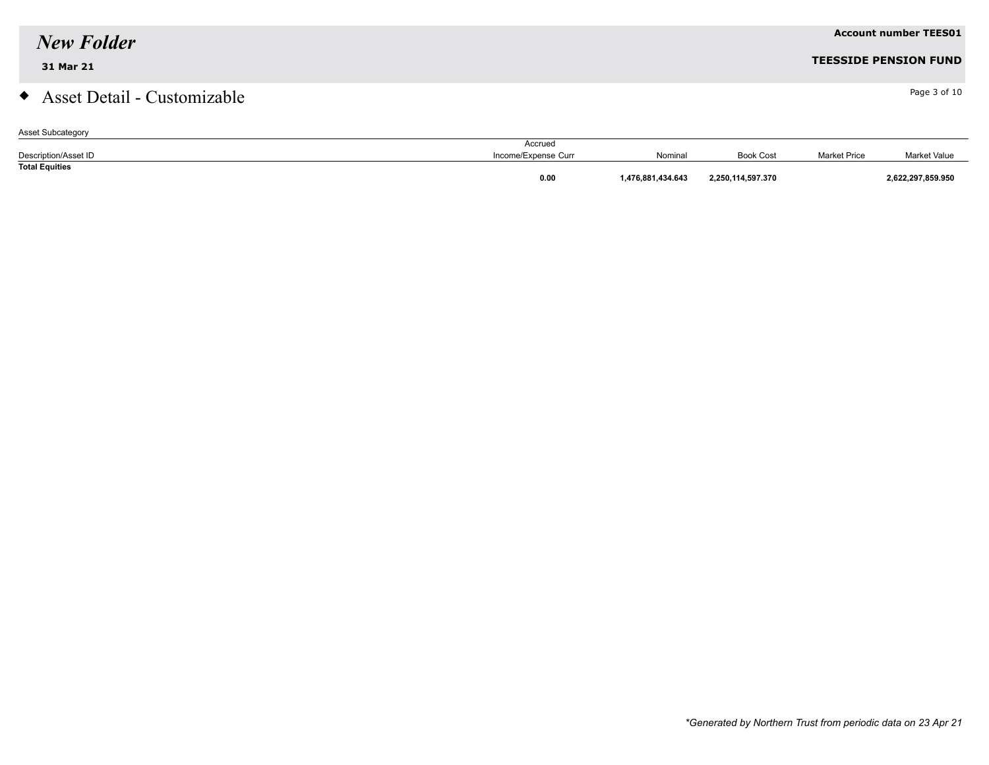#### **31 Mar 21 TEESSIDE PENSION FUND**

### $\bullet$  Asset Detail - Customizable  $\bullet$

| <b>Asset Subcategory</b> |                     |                  |                   |                     |                     |
|--------------------------|---------------------|------------------|-------------------|---------------------|---------------------|
|                          | Accrued             |                  |                   |                     |                     |
| Description/Asset ID     | Income/Expense Curr | Nominal          | <b>Book Cost</b>  | <b>Market Price</b> | <b>Market Value</b> |
| <b>Total Equities</b>    |                     |                  |                   |                     |                     |
|                          | 0.00                | .476.881.434.643 | 2,250,114,597.370 |                     | 2,622,297,859.950   |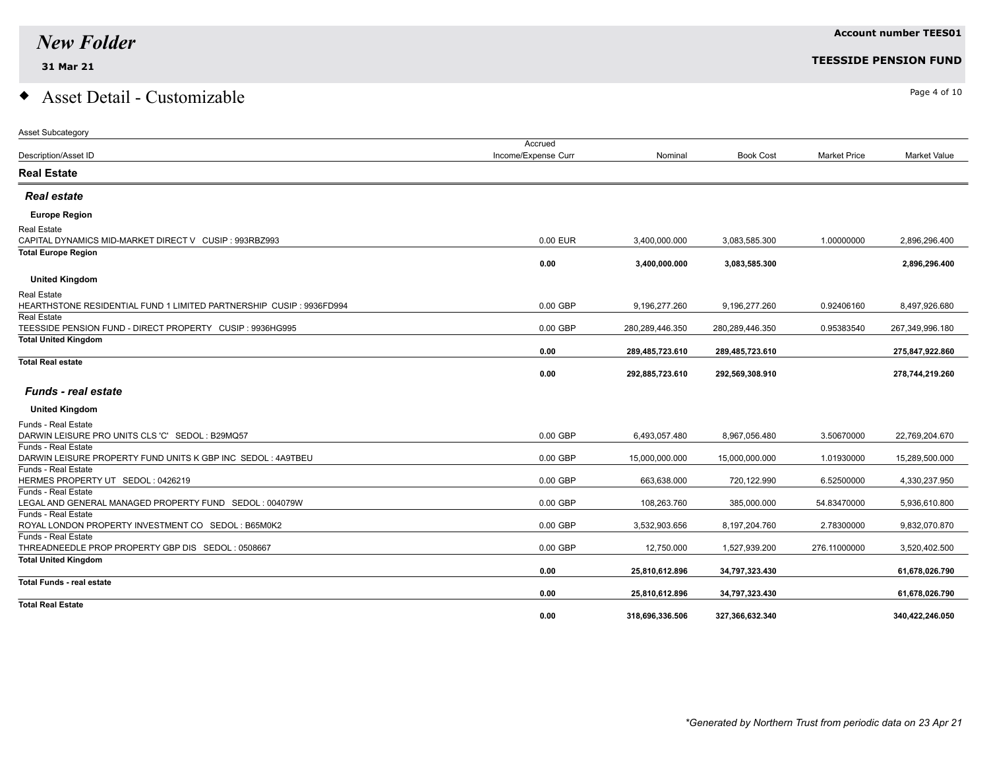# $\bullet$  Asset Detail - Customizable  $\bullet$

| Accrued<br>Income/Expense Curr<br><b>Book Cost</b><br><b>Market Price</b><br>Description/Asset ID<br>Nominal<br><b>Market Value</b><br><b>Real Estate</b><br><b>Real estate</b><br><b>Europe Region</b><br>Real Estate<br>CAPITAL DYNAMICS MID-MARKET DIRECT V CUSIP : 993RBZ993<br>0.00 EUR<br>2,896,296.400<br>3,400,000.000<br>3,083,585.300<br>1.00000000<br><b>Total Europe Region</b><br>0.00<br>3,400,000.000<br>3,083,585.300<br>2,896,296.400<br><b>United Kingdom</b><br>Real Estate<br>HEARTHSTONE RESIDENTIAL FUND 1 LIMITED PARTNERSHIP CUSIP : 9936FD994<br>0.00 GBP<br>9,196,277.260<br>9,196,277.260<br>8,497,926.680<br>0.92406160<br><b>Real Estate</b><br>TEESSIDE PENSION FUND - DIRECT PROPERTY CUSIP : 9936HG995<br>0.00 GBP<br>280,289,446.350<br>280,289,446.350<br>0.95383540<br>267,349,996.180<br><b>Total United Kingdom</b><br>0.00<br>289,485,723.610<br>289,485,723.610<br>275.847.922.860<br><b>Total Real estate</b><br>0.00<br>292,885,723.610<br>278,744,219.260<br>292,569,308.910<br><b>Funds - real estate</b><br><b>United Kingdom</b><br><b>Funds - Real Estate</b><br>DARWIN LEISURE PRO UNITS CLS 'C' SEDOL: B29MQ57<br>0.00 GBP<br>3.50670000<br>22,769,204.670<br>6,493,057.480<br>8,967,056.480<br><b>Funds - Real Estate</b><br>DARWIN LEISURE PROPERTY FUND UNITS K GBP INC SEDOL: 4A9TBEU<br>0.00 GBP<br>15,000,000.000<br>15,000,000.000<br>1.01930000<br>15,289,500.000<br>Funds - Real Estate<br>HERMES PROPERTY UT SEDOL: 0426219<br>0.00 GBP<br>6.52500000<br>663,638.000<br>720,122.990<br>4,330,237.950<br><b>Funds - Real Estate</b><br>LEGAL AND GENERAL MANAGED PROPERTY FUND SEDOL: 004079W<br>0.00 GBP<br>108,263.760<br>385,000.000<br>54.83470000<br>5,936,610.800<br><b>Funds - Real Estate</b><br>ROYAL LONDON PROPERTY INVESTMENT CO SEDOL : B65M0K2<br>0.00 GBP<br>3,532,903.656<br>9,832,070.870<br>8,197,204.760<br>2.78300000<br>Funds - Real Estate<br>0.00 GBP<br>THREADNEEDLE PROP PROPERTY GBP DIS SEDOL: 0508667<br>12,750.000<br>1,527,939.200<br>276.11000000<br>3,520,402.500<br><b>Total United Kingdom</b><br>0.00<br>61,678,026.790<br>25,810,612.896<br>34,797,323.430 | <b>Asset Subcategory</b> |  |  |  |
|---------------------------------------------------------------------------------------------------------------------------------------------------------------------------------------------------------------------------------------------------------------------------------------------------------------------------------------------------------------------------------------------------------------------------------------------------------------------------------------------------------------------------------------------------------------------------------------------------------------------------------------------------------------------------------------------------------------------------------------------------------------------------------------------------------------------------------------------------------------------------------------------------------------------------------------------------------------------------------------------------------------------------------------------------------------------------------------------------------------------------------------------------------------------------------------------------------------------------------------------------------------------------------------------------------------------------------------------------------------------------------------------------------------------------------------------------------------------------------------------------------------------------------------------------------------------------------------------------------------------------------------------------------------------------------------------------------------------------------------------------------------------------------------------------------------------------------------------------------------------------------------------------------------------------------------------------------------------------------------------------------------------------------------------------------------------------------------------------------------------------------------------------------|--------------------------|--|--|--|
|                                                                                                                                                                                                                                                                                                                                                                                                                                                                                                                                                                                                                                                                                                                                                                                                                                                                                                                                                                                                                                                                                                                                                                                                                                                                                                                                                                                                                                                                                                                                                                                                                                                                                                                                                                                                                                                                                                                                                                                                                                                                                                                                                         |                          |  |  |  |
|                                                                                                                                                                                                                                                                                                                                                                                                                                                                                                                                                                                                                                                                                                                                                                                                                                                                                                                                                                                                                                                                                                                                                                                                                                                                                                                                                                                                                                                                                                                                                                                                                                                                                                                                                                                                                                                                                                                                                                                                                                                                                                                                                         |                          |  |  |  |
|                                                                                                                                                                                                                                                                                                                                                                                                                                                                                                                                                                                                                                                                                                                                                                                                                                                                                                                                                                                                                                                                                                                                                                                                                                                                                                                                                                                                                                                                                                                                                                                                                                                                                                                                                                                                                                                                                                                                                                                                                                                                                                                                                         |                          |  |  |  |
|                                                                                                                                                                                                                                                                                                                                                                                                                                                                                                                                                                                                                                                                                                                                                                                                                                                                                                                                                                                                                                                                                                                                                                                                                                                                                                                                                                                                                                                                                                                                                                                                                                                                                                                                                                                                                                                                                                                                                                                                                                                                                                                                                         |                          |  |  |  |
|                                                                                                                                                                                                                                                                                                                                                                                                                                                                                                                                                                                                                                                                                                                                                                                                                                                                                                                                                                                                                                                                                                                                                                                                                                                                                                                                                                                                                                                                                                                                                                                                                                                                                                                                                                                                                                                                                                                                                                                                                                                                                                                                                         |                          |  |  |  |
|                                                                                                                                                                                                                                                                                                                                                                                                                                                                                                                                                                                                                                                                                                                                                                                                                                                                                                                                                                                                                                                                                                                                                                                                                                                                                                                                                                                                                                                                                                                                                                                                                                                                                                                                                                                                                                                                                                                                                                                                                                                                                                                                                         |                          |  |  |  |
|                                                                                                                                                                                                                                                                                                                                                                                                                                                                                                                                                                                                                                                                                                                                                                                                                                                                                                                                                                                                                                                                                                                                                                                                                                                                                                                                                                                                                                                                                                                                                                                                                                                                                                                                                                                                                                                                                                                                                                                                                                                                                                                                                         |                          |  |  |  |
|                                                                                                                                                                                                                                                                                                                                                                                                                                                                                                                                                                                                                                                                                                                                                                                                                                                                                                                                                                                                                                                                                                                                                                                                                                                                                                                                                                                                                                                                                                                                                                                                                                                                                                                                                                                                                                                                                                                                                                                                                                                                                                                                                         |                          |  |  |  |
|                                                                                                                                                                                                                                                                                                                                                                                                                                                                                                                                                                                                                                                                                                                                                                                                                                                                                                                                                                                                                                                                                                                                                                                                                                                                                                                                                                                                                                                                                                                                                                                                                                                                                                                                                                                                                                                                                                                                                                                                                                                                                                                                                         |                          |  |  |  |
|                                                                                                                                                                                                                                                                                                                                                                                                                                                                                                                                                                                                                                                                                                                                                                                                                                                                                                                                                                                                                                                                                                                                                                                                                                                                                                                                                                                                                                                                                                                                                                                                                                                                                                                                                                                                                                                                                                                                                                                                                                                                                                                                                         |                          |  |  |  |
|                                                                                                                                                                                                                                                                                                                                                                                                                                                                                                                                                                                                                                                                                                                                                                                                                                                                                                                                                                                                                                                                                                                                                                                                                                                                                                                                                                                                                                                                                                                                                                                                                                                                                                                                                                                                                                                                                                                                                                                                                                                                                                                                                         |                          |  |  |  |
|                                                                                                                                                                                                                                                                                                                                                                                                                                                                                                                                                                                                                                                                                                                                                                                                                                                                                                                                                                                                                                                                                                                                                                                                                                                                                                                                                                                                                                                                                                                                                                                                                                                                                                                                                                                                                                                                                                                                                                                                                                                                                                                                                         |                          |  |  |  |
|                                                                                                                                                                                                                                                                                                                                                                                                                                                                                                                                                                                                                                                                                                                                                                                                                                                                                                                                                                                                                                                                                                                                                                                                                                                                                                                                                                                                                                                                                                                                                                                                                                                                                                                                                                                                                                                                                                                                                                                                                                                                                                                                                         |                          |  |  |  |
|                                                                                                                                                                                                                                                                                                                                                                                                                                                                                                                                                                                                                                                                                                                                                                                                                                                                                                                                                                                                                                                                                                                                                                                                                                                                                                                                                                                                                                                                                                                                                                                                                                                                                                                                                                                                                                                                                                                                                                                                                                                                                                                                                         |                          |  |  |  |
|                                                                                                                                                                                                                                                                                                                                                                                                                                                                                                                                                                                                                                                                                                                                                                                                                                                                                                                                                                                                                                                                                                                                                                                                                                                                                                                                                                                                                                                                                                                                                                                                                                                                                                                                                                                                                                                                                                                                                                                                                                                                                                                                                         |                          |  |  |  |
|                                                                                                                                                                                                                                                                                                                                                                                                                                                                                                                                                                                                                                                                                                                                                                                                                                                                                                                                                                                                                                                                                                                                                                                                                                                                                                                                                                                                                                                                                                                                                                                                                                                                                                                                                                                                                                                                                                                                                                                                                                                                                                                                                         |                          |  |  |  |
|                                                                                                                                                                                                                                                                                                                                                                                                                                                                                                                                                                                                                                                                                                                                                                                                                                                                                                                                                                                                                                                                                                                                                                                                                                                                                                                                                                                                                                                                                                                                                                                                                                                                                                                                                                                                                                                                                                                                                                                                                                                                                                                                                         |                          |  |  |  |
|                                                                                                                                                                                                                                                                                                                                                                                                                                                                                                                                                                                                                                                                                                                                                                                                                                                                                                                                                                                                                                                                                                                                                                                                                                                                                                                                                                                                                                                                                                                                                                                                                                                                                                                                                                                                                                                                                                                                                                                                                                                                                                                                                         |                          |  |  |  |
|                                                                                                                                                                                                                                                                                                                                                                                                                                                                                                                                                                                                                                                                                                                                                                                                                                                                                                                                                                                                                                                                                                                                                                                                                                                                                                                                                                                                                                                                                                                                                                                                                                                                                                                                                                                                                                                                                                                                                                                                                                                                                                                                                         |                          |  |  |  |
|                                                                                                                                                                                                                                                                                                                                                                                                                                                                                                                                                                                                                                                                                                                                                                                                                                                                                                                                                                                                                                                                                                                                                                                                                                                                                                                                                                                                                                                                                                                                                                                                                                                                                                                                                                                                                                                                                                                                                                                                                                                                                                                                                         |                          |  |  |  |
|                                                                                                                                                                                                                                                                                                                                                                                                                                                                                                                                                                                                                                                                                                                                                                                                                                                                                                                                                                                                                                                                                                                                                                                                                                                                                                                                                                                                                                                                                                                                                                                                                                                                                                                                                                                                                                                                                                                                                                                                                                                                                                                                                         |                          |  |  |  |
|                                                                                                                                                                                                                                                                                                                                                                                                                                                                                                                                                                                                                                                                                                                                                                                                                                                                                                                                                                                                                                                                                                                                                                                                                                                                                                                                                                                                                                                                                                                                                                                                                                                                                                                                                                                                                                                                                                                                                                                                                                                                                                                                                         |                          |  |  |  |
|                                                                                                                                                                                                                                                                                                                                                                                                                                                                                                                                                                                                                                                                                                                                                                                                                                                                                                                                                                                                                                                                                                                                                                                                                                                                                                                                                                                                                                                                                                                                                                                                                                                                                                                                                                                                                                                                                                                                                                                                                                                                                                                                                         |                          |  |  |  |
|                                                                                                                                                                                                                                                                                                                                                                                                                                                                                                                                                                                                                                                                                                                                                                                                                                                                                                                                                                                                                                                                                                                                                                                                                                                                                                                                                                                                                                                                                                                                                                                                                                                                                                                                                                                                                                                                                                                                                                                                                                                                                                                                                         |                          |  |  |  |
|                                                                                                                                                                                                                                                                                                                                                                                                                                                                                                                                                                                                                                                                                                                                                                                                                                                                                                                                                                                                                                                                                                                                                                                                                                                                                                                                                                                                                                                                                                                                                                                                                                                                                                                                                                                                                                                                                                                                                                                                                                                                                                                                                         |                          |  |  |  |
|                                                                                                                                                                                                                                                                                                                                                                                                                                                                                                                                                                                                                                                                                                                                                                                                                                                                                                                                                                                                                                                                                                                                                                                                                                                                                                                                                                                                                                                                                                                                                                                                                                                                                                                                                                                                                                                                                                                                                                                                                                                                                                                                                         |                          |  |  |  |
|                                                                                                                                                                                                                                                                                                                                                                                                                                                                                                                                                                                                                                                                                                                                                                                                                                                                                                                                                                                                                                                                                                                                                                                                                                                                                                                                                                                                                                                                                                                                                                                                                                                                                                                                                                                                                                                                                                                                                                                                                                                                                                                                                         |                          |  |  |  |
|                                                                                                                                                                                                                                                                                                                                                                                                                                                                                                                                                                                                                                                                                                                                                                                                                                                                                                                                                                                                                                                                                                                                                                                                                                                                                                                                                                                                                                                                                                                                                                                                                                                                                                                                                                                                                                                                                                                                                                                                                                                                                                                                                         |                          |  |  |  |
|                                                                                                                                                                                                                                                                                                                                                                                                                                                                                                                                                                                                                                                                                                                                                                                                                                                                                                                                                                                                                                                                                                                                                                                                                                                                                                                                                                                                                                                                                                                                                                                                                                                                                                                                                                                                                                                                                                                                                                                                                                                                                                                                                         |                          |  |  |  |
|                                                                                                                                                                                                                                                                                                                                                                                                                                                                                                                                                                                                                                                                                                                                                                                                                                                                                                                                                                                                                                                                                                                                                                                                                                                                                                                                                                                                                                                                                                                                                                                                                                                                                                                                                                                                                                                                                                                                                                                                                                                                                                                                                         |                          |  |  |  |
|                                                                                                                                                                                                                                                                                                                                                                                                                                                                                                                                                                                                                                                                                                                                                                                                                                                                                                                                                                                                                                                                                                                                                                                                                                                                                                                                                                                                                                                                                                                                                                                                                                                                                                                                                                                                                                                                                                                                                                                                                                                                                                                                                         |                          |  |  |  |
|                                                                                                                                                                                                                                                                                                                                                                                                                                                                                                                                                                                                                                                                                                                                                                                                                                                                                                                                                                                                                                                                                                                                                                                                                                                                                                                                                                                                                                                                                                                                                                                                                                                                                                                                                                                                                                                                                                                                                                                                                                                                                                                                                         |                          |  |  |  |
|                                                                                                                                                                                                                                                                                                                                                                                                                                                                                                                                                                                                                                                                                                                                                                                                                                                                                                                                                                                                                                                                                                                                                                                                                                                                                                                                                                                                                                                                                                                                                                                                                                                                                                                                                                                                                                                                                                                                                                                                                                                                                                                                                         |                          |  |  |  |
| <b>Total Funds - real estate</b>                                                                                                                                                                                                                                                                                                                                                                                                                                                                                                                                                                                                                                                                                                                                                                                                                                                                                                                                                                                                                                                                                                                                                                                                                                                                                                                                                                                                                                                                                                                                                                                                                                                                                                                                                                                                                                                                                                                                                                                                                                                                                                                        |                          |  |  |  |
| 0.00<br>25,810,612.896<br>34,797,323.430<br>61,678,026.790<br><b>Total Real Estate</b>                                                                                                                                                                                                                                                                                                                                                                                                                                                                                                                                                                                                                                                                                                                                                                                                                                                                                                                                                                                                                                                                                                                                                                                                                                                                                                                                                                                                                                                                                                                                                                                                                                                                                                                                                                                                                                                                                                                                                                                                                                                                  |                          |  |  |  |
| 0.00<br>318,696,336.506<br>327,366,632.340<br>340.422.246.050                                                                                                                                                                                                                                                                                                                                                                                                                                                                                                                                                                                                                                                                                                                                                                                                                                                                                                                                                                                                                                                                                                                                                                                                                                                                                                                                                                                                                                                                                                                                                                                                                                                                                                                                                                                                                                                                                                                                                                                                                                                                                           |                          |  |  |  |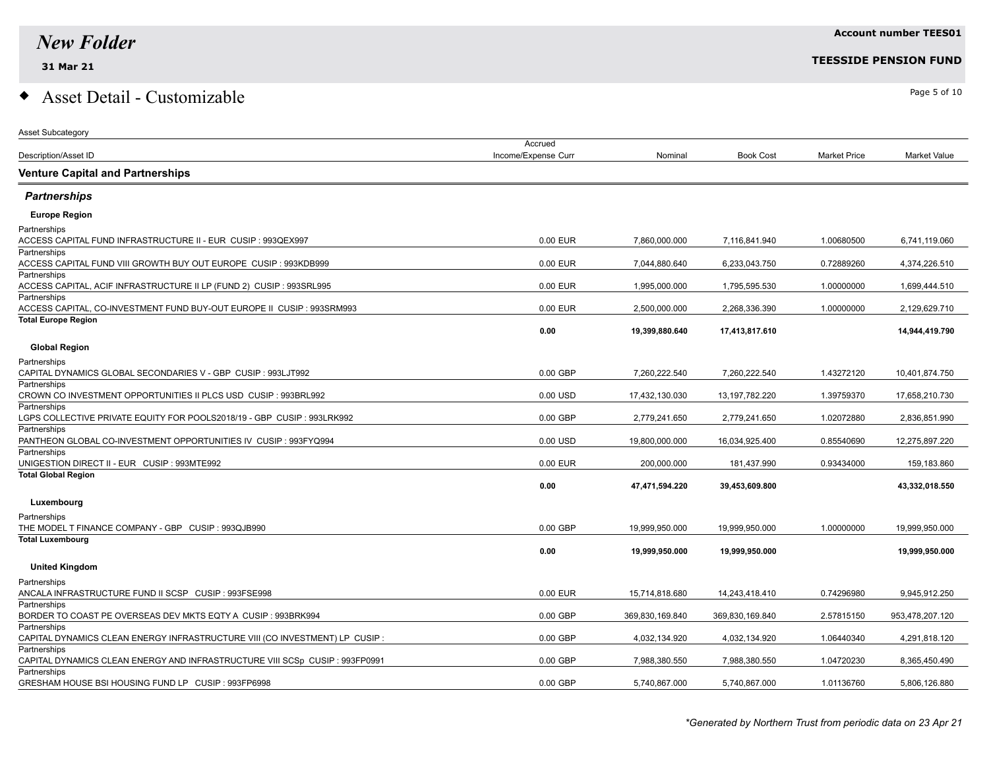### $\bullet$  Asset Detail - Customizable  $\bullet$

| <b>Asset Subcategory</b>                                                                     |                     |                 |                   |                     |                 |
|----------------------------------------------------------------------------------------------|---------------------|-----------------|-------------------|---------------------|-----------------|
|                                                                                              | Accrued             |                 |                   |                     |                 |
| <b>Description/Asset ID</b>                                                                  | Income/Expense Curr | Nominal         | <b>Book Cost</b>  | <b>Market Price</b> | Market Value    |
| <b>Venture Capital and Partnerships</b>                                                      |                     |                 |                   |                     |                 |
| <b>Partnerships</b>                                                                          |                     |                 |                   |                     |                 |
| <b>Europe Region</b>                                                                         |                     |                 |                   |                     |                 |
| Partnerships<br>ACCESS CAPITAL FUND INFRASTRUCTURE II - EUR CUSIP : 993QEX997                | 0.00 EUR            | 7,860,000.000   | 7,116,841.940     | 1.00680500          | 6,741,119.060   |
| Partnerships<br>ACCESS CAPITAL FUND VIII GROWTH BUY OUT EUROPE CUSIP : 993KDB999             | 0.00 EUR            | 7,044,880.640   | 6,233,043.750     | 0.72889260          | 4,374,226.510   |
| Partnerships<br>ACCESS CAPITAL, ACIF INFRASTRUCTURE II LP (FUND 2) CUSIP : 993SRL995         | 0.00 EUR            | 1,995,000.000   | 1,795,595.530     | 1.00000000          | 1,699,444.510   |
| Partnerships<br>ACCESS CAPITAL, CO-INVESTMENT FUND BUY-OUT EUROPE II CUSIP : 993SRM993       | 0.00 EUR            | 2,500,000.000   | 2,268,336.390     | 1.00000000          | 2,129,629.710   |
| <b>Total Europe Region</b>                                                                   | 0.00                | 19,399,880.640  | 17,413,817.610    |                     | 14,944,419.790  |
| <b>Global Region</b>                                                                         |                     |                 |                   |                     |                 |
| Partnerships<br>CAPITAL DYNAMICS GLOBAL SECONDARIES V - GBP CUSIP : 993LJT992                | 0.00 GBP            | 7,260,222.540   | 7,260,222.540     | 1.43272120          | 10,401,874.750  |
| Partnerships<br>CROWN CO INVESTMENT OPPORTUNITIES II PLCS USD CUSIP : 993BRL992              | 0.00 USD            | 17,432,130.030  | 13, 197, 782. 220 | 1.39759370          | 17,658,210.730  |
| Partnerships<br>LGPS COLLECTIVE PRIVATE EQUITY FOR POOLS2018/19 - GBP CUSIP : 993LRK992      | 0.00 GBP            | 2,779,241.650   | 2,779,241.650     | 1.02072880          | 2,836,851.990   |
| Partnerships<br>PANTHEON GLOBAL CO-INVESTMENT OPPORTUNITIES IV CUSIP : 993FYQ994             | 0.00 USD            | 19,800,000.000  | 16,034,925.400    | 0.85540690          | 12,275,897.220  |
| Partnerships<br>UNIGESTION DIRECT II - EUR CUSIP : 993MTE992                                 | 0.00 EUR            | 200.000.000     | 181,437.990       | 0.93434000          | 159,183.860     |
| <b>Total Global Region</b>                                                                   | 0.00                | 47,471,594.220  | 39,453,609.800    |                     | 43,332,018.550  |
| Luxembourg                                                                                   |                     |                 |                   |                     |                 |
| Partnerships<br>THE MODEL T FINANCE COMPANY - GBP CUSIP : 993QJB990                          | 0.00 GBP            | 19,999,950.000  | 19,999,950.000    | 1.00000000          | 19,999,950.000  |
| <b>Total Luxembourg</b>                                                                      |                     |                 |                   |                     |                 |
|                                                                                              | 0.00                | 19,999,950.000  | 19,999,950.000    |                     | 19,999,950.000  |
| <b>United Kingdom</b>                                                                        |                     |                 |                   |                     |                 |
| Partnerships<br>ANCALA INFRASTRUCTURE FUND II SCSP CUSIP : 993FSE998                         | 0.00 EUR            | 15,714,818.680  | 14,243,418.410    | 0.74296980          | 9.945.912.250   |
| Partnerships<br>BORDER TO COAST PE OVERSEAS DEV MKTS EQTY A CUSIP : 993BRK994                | 0.00 GBP            | 369,830,169.840 | 369,830,169.840   | 2.57815150          | 953,478,207.120 |
| Partnerships<br>CAPITAL DYNAMICS CLEAN ENERGY INFRASTRUCTURE VIII (CO INVESTMENT) LP CUSIP : | 0.00 GBP            | 4,032,134.920   | 4,032,134.920     | 1.06440340          | 4,291,818.120   |
| Partnerships<br>CAPITAL DYNAMICS CLEAN ENERGY AND INFRASTRUCTURE VIII SCSp CUSIP : 993FP0991 | 0.00 GBP            | 7,988,380.550   | 7,988,380.550     | 1.04720230          | 8,365,450.490   |
| Partnerships                                                                                 |                     |                 |                   |                     |                 |

GRESHAM HOUSE BSI HOUSING FUND LP CUSIP : 993FP6998 0.000 CD COSIP 5,740,867.000 5,740,867.000 5,740,867.000 5,740,867.000 5,740,867.000 5,806,126.880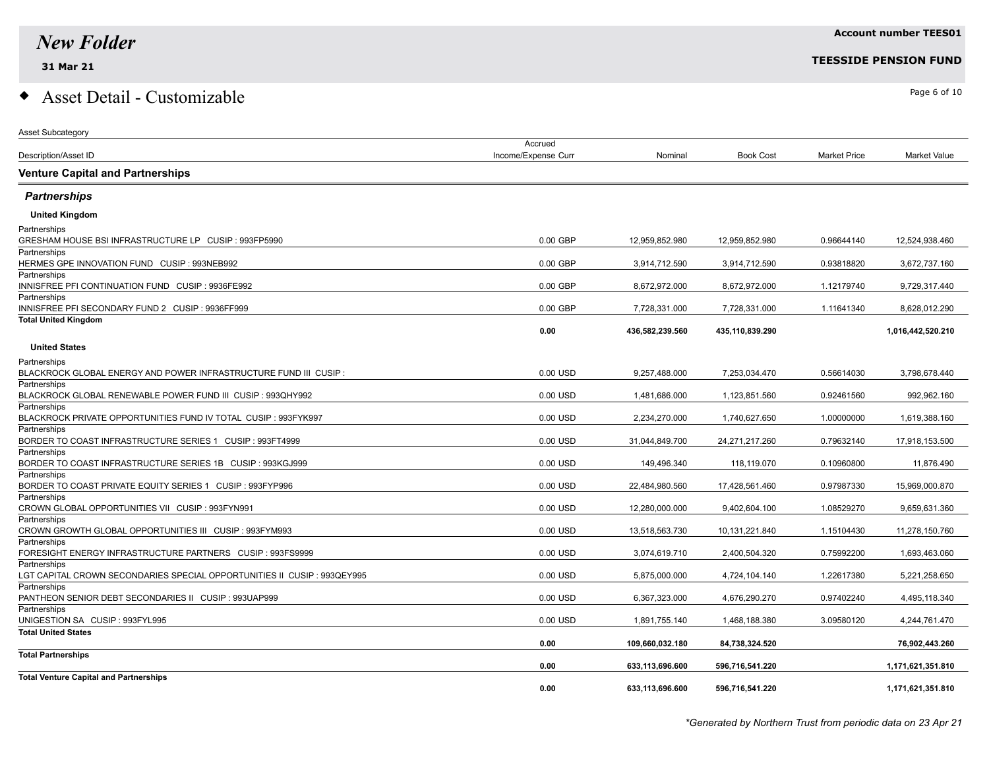Asset Subcategory

### $\bullet$  Asset Detail - Customizable  $\bullet$

|                                                                             | Accrued             |                 |                  |                     |                   |
|-----------------------------------------------------------------------------|---------------------|-----------------|------------------|---------------------|-------------------|
| Description/Asset ID                                                        | Income/Expense Curr | Nominal         | <b>Book Cost</b> | <b>Market Price</b> | Market Value      |
| <b>Venture Capital and Partnerships</b>                                     |                     |                 |                  |                     |                   |
| <b>Partnerships</b>                                                         |                     |                 |                  |                     |                   |
| <b>United Kingdom</b>                                                       |                     |                 |                  |                     |                   |
| Partnerships                                                                |                     |                 |                  |                     |                   |
|                                                                             | $0.00$ GBP          | 12,959,852.980  | 12,959,852.980   | 0.96644140          | 12,524,938.460    |
| Partnerships                                                                |                     |                 |                  |                     |                   |
| HERMES GPE INNOVATION FUND CUSIP : 993NEB992                                | 0.00 GBP            | 3,914,712.590   | 3,914,712.590    | 0.93818820          | 3,672,737.160     |
| Partnerships                                                                |                     |                 |                  |                     |                   |
| INNISFREE PFI CONTINUATION FUND CUSIP : 9936FE992<br>Partnerships           | 0.00 GBP            | 8,672,972.000   | 8,672,972.000    | 1.12179740          | 9,729,317.440     |
| INNISFREE PFI SECONDARY FUND 2 CUSIP : 9936FF999                            | 0.00 GBP            | 7,728,331.000   | 7,728,331.000    | 1.11641340          | 8,628,012.290     |
| <b>Total United Kingdom</b>                                                 |                     |                 |                  |                     |                   |
|                                                                             | 0.00                | 436,582,239.560 | 435,110,839.290  |                     | 1,016,442,520.210 |
| <b>United States</b>                                                        |                     |                 |                  |                     |                   |
| Partnerships                                                                |                     |                 |                  |                     |                   |
| $\,$ BLACKROCK GLOBAL ENERGY AND POWER INFRASTRUCTURE FUND III $\,$ CUSIP : | 0.00 USD            | 9,257,488.000   | 7,253,034.470    | 0.56614030          | 3,798,678.440     |
| Partnerships                                                                |                     |                 |                  |                     |                   |
| BLACKROCK GLOBAL RENEWABLE POWER FUND III CUSIP : 993QHY992                 | 0.00 USD            | 1,481,686.000   | 1,123,851.560    | 0.92461560          | 992,962.160       |
| Partnerships                                                                |                     |                 |                  |                     |                   |
| BLACKROCK PRIVATE OPPORTUNITIES FUND IV TOTAL CUSIP : 993FYK997             | 0.00 USD            | 2,234,270.000   | 1,740,627.650    | 1.00000000          | 1,619,388.160     |
| Partnerships<br>BORDER TO COAST INFRASTRUCTURE SERIES 1 CUSIP : 993FT4999   | 0.00 USD            | 31,044,849.700  | 24,271,217.260   | 0.79632140          | 17,918,153.500    |
| Partnerships                                                                |                     |                 |                  |                     |                   |
| BORDER TO COAST INFRASTRUCTURE SERIES 1B    CUSIP : 993KGJ999               | 0.00 USD            | 149,496.340     | 118,119.070      | 0.10960800          | 11,876.490        |
| Partnerships                                                                |                     |                 |                  |                     |                   |
| BORDER TO COAST PRIVATE EQUITY SERIES 1 CUSIP : 993FYP996                   | 0.00 USD            | 22,484,980.560  | 17,428,561.460   | 0.97987330          | 15,969,000.870    |
| Partnerships                                                                |                     |                 |                  |                     |                   |
| CROWN GLOBAL OPPORTUNITIES VII CUSIP : 993FYN991                            | 0.00 USD            | 12,280,000.000  | 9,402,604.100    | 1.08529270          | 9,659,631.360     |
| Partnerships                                                                |                     |                 |                  |                     |                   |
| CROWN GROWTH GLOBAL OPPORTUNITIES III CUSIP : 993FYM993                     | 0.00 USD            | 13,518,563.730  | 10,131,221.840   | 1.15104430          | 11,278,150.760    |
| Partnerships                                                                | 0.00 USD            |                 |                  | 0.75992200          |                   |
| FORESIGHT ENERGY INFRASTRUCTURE PARTNERS CUSIP : 993FS9999<br>Partnerships  |                     | 3,074,619.710   | 2,400,504.320    |                     | 1,693,463.060     |
| LGT CAPITAL CROWN SECONDARIES SPECIAL OPPORTUNITIES II CUSIP : 993QEY995    | 0.00 USD            | 5,875,000.000   | 4,724,104.140    | 1.22617380          | 5,221,258.650     |
| Partnerships                                                                |                     |                 |                  |                     |                   |
| PANTHEON SENIOR DEBT SECONDARIES II CUSIP : 993UAP999                       | 0.00 USD            | 6,367,323.000   | 4,676,290.270    | 0.97402240          | 4,495,118.340     |
| Partnerships                                                                |                     |                 |                  |                     |                   |
| UNIGESTION SA CUSIP: 993FYL995                                              | 0.00 USD            | 1,891,755.140   | 1,468,188.380    | 3.09580120          | 4,244,761.470     |
| <b>Total United States</b>                                                  |                     |                 |                  |                     |                   |
|                                                                             | 0.00                | 109,660,032.180 | 84,738,324.520   |                     | 76,902,443.260    |
| <b>Total Partnerships</b>                                                   |                     |                 |                  |                     |                   |
|                                                                             | 0.00                | 633,113,696.600 | 596,716,541.220  |                     | 1,171,621,351.810 |
| <b>Total Venture Capital and Partnerships</b>                               | 0.00                | 633,113,696.600 | 596,716,541.220  |                     | 1,171,621,351.810 |
|                                                                             |                     |                 |                  |                     |                   |

**Account number TEES01**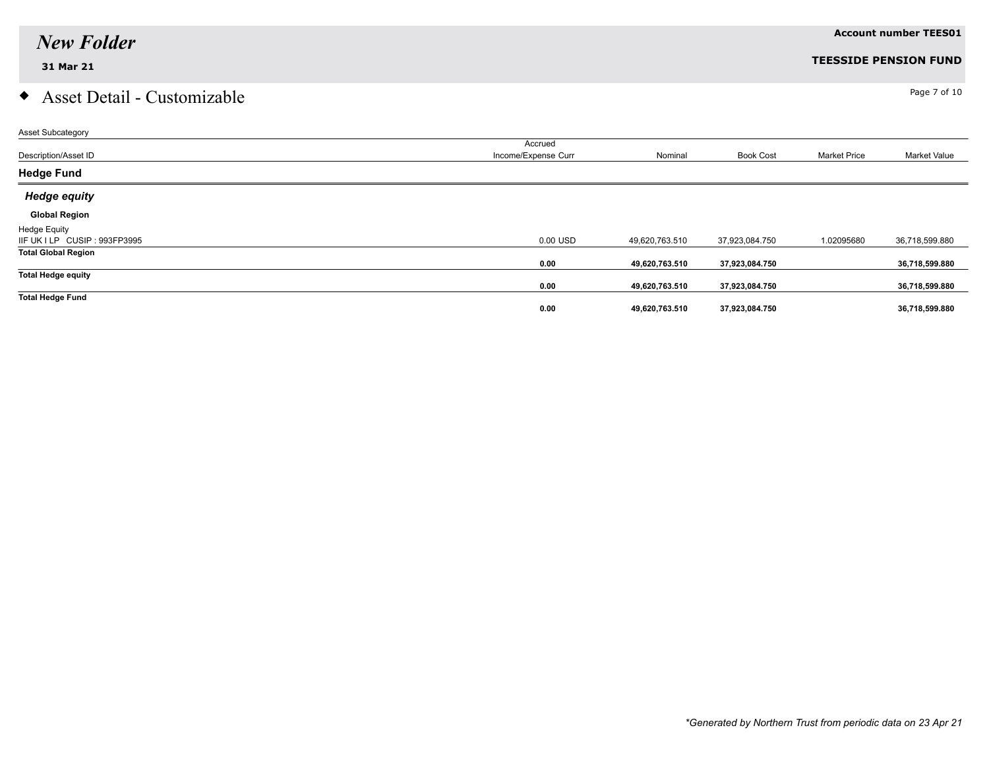## $\bullet$  Asset Detail - Customizable  $\bullet$

| <b>Asset Subcategory</b>      |                     |                |                  |                     |                |
|-------------------------------|---------------------|----------------|------------------|---------------------|----------------|
|                               | Accrued             |                |                  |                     |                |
| Description/Asset ID          | Income/Expense Curr | Nominal        | <b>Book Cost</b> | <b>Market Price</b> | Market Value   |
| <b>Hedge Fund</b>             |                     |                |                  |                     |                |
| <b>Hedge equity</b>           |                     |                |                  |                     |                |
| <b>Global Region</b>          |                     |                |                  |                     |                |
| <b>Hedge Equity</b>           |                     |                |                  |                     |                |
| IIF UK I LP CUSIP : 993FP3995 | 0.00 USD            | 49,620,763.510 | 37,923,084.750   | 1.02095680          | 36,718,599.880 |
| <b>Total Global Region</b>    |                     |                |                  |                     |                |
|                               | 0.00                | 49,620,763.510 | 37,923,084.750   |                     | 36,718,599.880 |
| <b>Total Hedge equity</b>     |                     |                |                  |                     |                |
|                               | 0.00                | 49,620,763.510 | 37,923,084.750   |                     | 36,718,599.880 |
| <b>Total Hedge Fund</b>       |                     |                |                  |                     |                |
|                               | 0.00                | 49,620,763.510 | 37,923,084.750   |                     | 36,718,599.880 |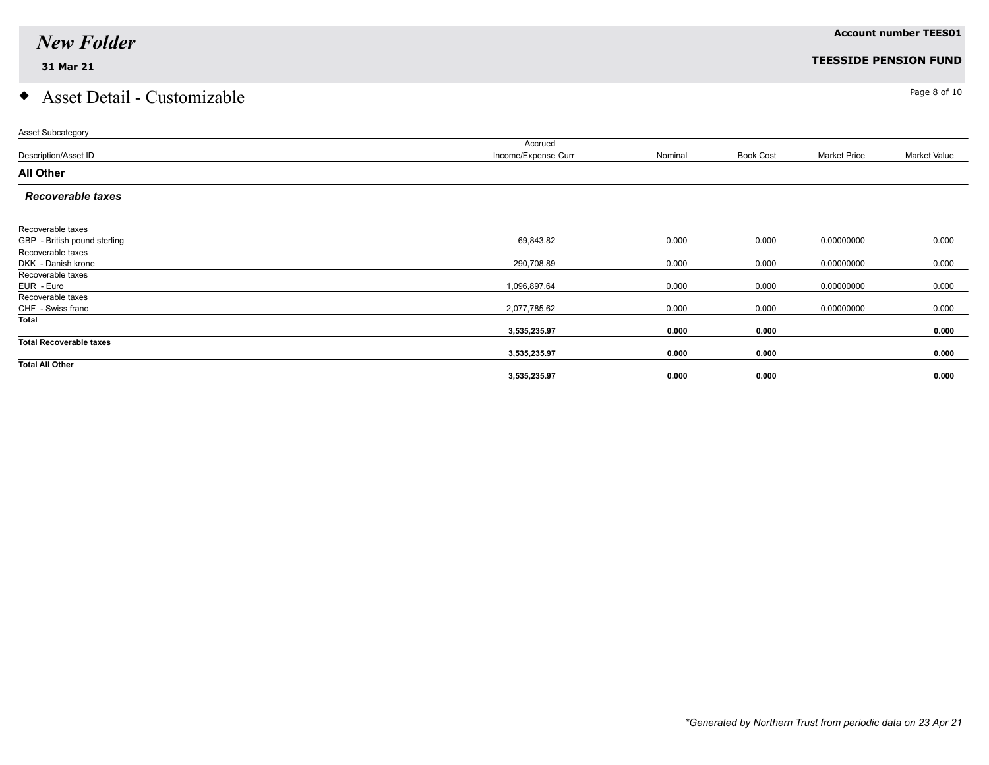## $\bullet$  Asset Detail - Customizable  $\bullet$

| Asset Subcategory              |                     |         |                  |                     |              |
|--------------------------------|---------------------|---------|------------------|---------------------|--------------|
|                                | Accrued             |         |                  |                     |              |
| Description/Asset ID           | Income/Expense Curr | Nominal | <b>Book Cost</b> | <b>Market Price</b> | Market Value |
| <b>All Other</b>               |                     |         |                  |                     |              |
| <b>Recoverable taxes</b>       |                     |         |                  |                     |              |
| Recoverable taxes              |                     |         |                  |                     |              |
| GBP - British pound sterling   | 69,843.82           | 0.000   | 0.000            | 0.00000000          | 0.000        |
|                                |                     |         |                  |                     |              |
| Recoverable taxes              |                     |         |                  |                     |              |
| DKK - Danish krone             | 290,708.89          | 0.000   | 0.000            | 0.00000000          | 0.000        |
| Recoverable taxes              |                     |         |                  |                     |              |
| EUR - Euro                     | 1,096,897.64        | 0.000   | 0.000            | 0.00000000          | 0.000        |
| Recoverable taxes              |                     |         |                  |                     |              |
| CHF - Swiss franc              | 2,077,785.62        | 0.000   | 0.000            | 0.00000000          | 0.000        |
| Total                          |                     |         |                  |                     |              |
|                                | 3,535,235.97        | 0.000   | 0.000            |                     | 0.000        |
| <b>Total Recoverable taxes</b> |                     |         |                  |                     |              |
|                                | 3,535,235.97        | 0.000   | 0.000            |                     | 0.000        |
| <b>Total All Other</b>         |                     |         |                  |                     |              |
|                                | 3,535,235.97        | 0.000   | 0.000            |                     | 0.000        |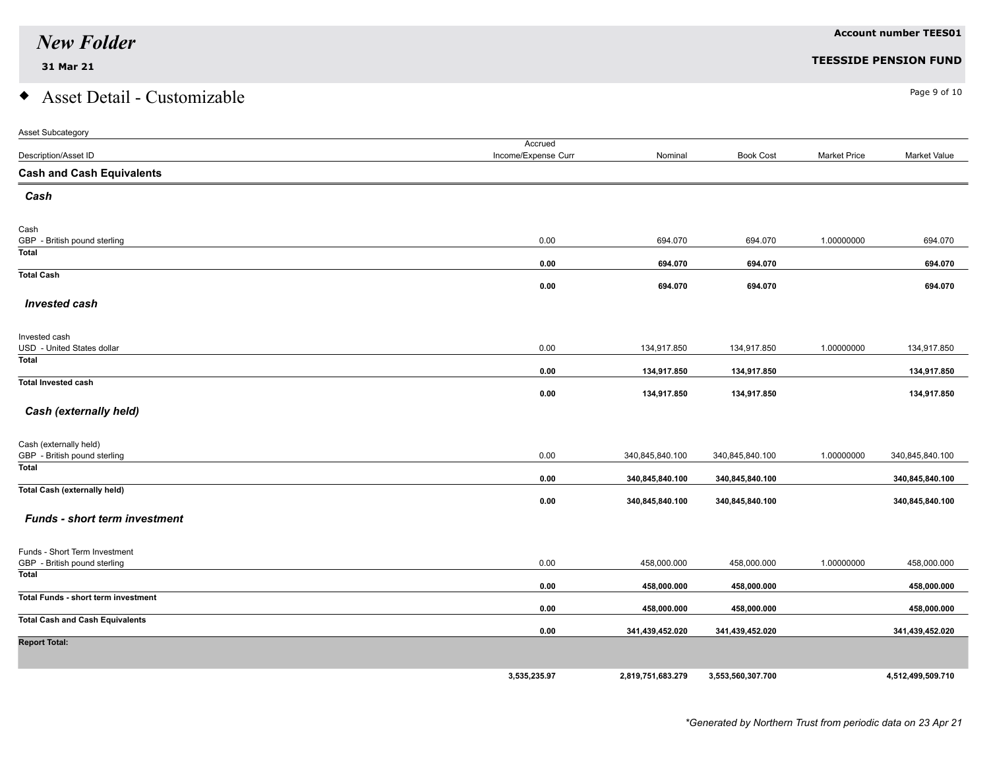# $\bullet$  Asset Detail - Customizable  $\bullet$

| <b>Asset Subcategory</b>                                      |                     |                   |                   |                     |                   |
|---------------------------------------------------------------|---------------------|-------------------|-------------------|---------------------|-------------------|
|                                                               | Accrued             |                   |                   |                     |                   |
| Description/Asset ID                                          | Income/Expense Curr | Nominal           | <b>Book Cost</b>  | <b>Market Price</b> | Market Value      |
| <b>Cash and Cash Equivalents</b>                              |                     |                   |                   |                     |                   |
| Cash                                                          |                     |                   |                   |                     |                   |
| Cash                                                          |                     |                   |                   |                     |                   |
| GBP - British pound sterling                                  | 0.00                | 694.070           | 694.070           | 1.00000000          | 694.070           |
| <b>Total</b>                                                  | 0.00                | 694.070           | 694.070           |                     | 694.070           |
| <b>Total Cash</b>                                             | 0.00                | 694.070           | 694.070           |                     | 694.070           |
| <b>Invested cash</b>                                          |                     |                   |                   |                     |                   |
|                                                               |                     |                   |                   |                     |                   |
| Invested cash<br>USD - United States dollar                   | 0.00                | 134,917.850       | 134,917.850       | 1.00000000          | 134,917.850       |
| <b>Total</b>                                                  | 0.00                | 134,917.850       | 134,917.850       |                     | 134,917.850       |
| <b>Total Invested cash</b>                                    |                     |                   |                   |                     |                   |
| Cash (externally held)                                        | 0.00                | 134,917.850       | 134,917.850       |                     | 134,917.850       |
| Cash (externally held)                                        |                     |                   |                   |                     |                   |
| GBP - British pound sterling                                  | 0.00                | 340,845,840.100   | 340,845,840.100   | 1.00000000          | 340,845,840.100   |
| Total                                                         | 0.00                | 340,845,840.100   | 340,845,840.100   |                     | 340,845,840.100   |
| <b>Total Cash (externally held)</b>                           |                     |                   |                   |                     |                   |
| <b>Funds - short term investment</b>                          | 0.00                | 340,845,840.100   | 340,845,840.100   |                     | 340,845,840.100   |
|                                                               |                     |                   |                   |                     |                   |
| Funds - Short Term Investment<br>GBP - British pound sterling | 0.00                | 458,000.000       | 458,000.000       | 1.00000000          | 458,000.000       |
| Total                                                         |                     |                   |                   |                     |                   |
| Total Funds - short term investment                           | 0.00                | 458,000.000       | 458,000.000       |                     | 458,000.000       |
|                                                               | 0.00                | 458,000.000       | 458,000.000       |                     | 458,000.000       |
| <b>Total Cash and Cash Equivalents</b>                        | 0.00                | 341,439,452.020   | 341,439,452.020   |                     | 341,439,452.020   |
| <b>Report Total:</b>                                          |                     |                   |                   |                     |                   |
|                                                               |                     |                   |                   |                     |                   |
|                                                               | 3,535,235.97        | 2,819,751,683.279 | 3,553,560,307.700 |                     | 4,512,499,509.710 |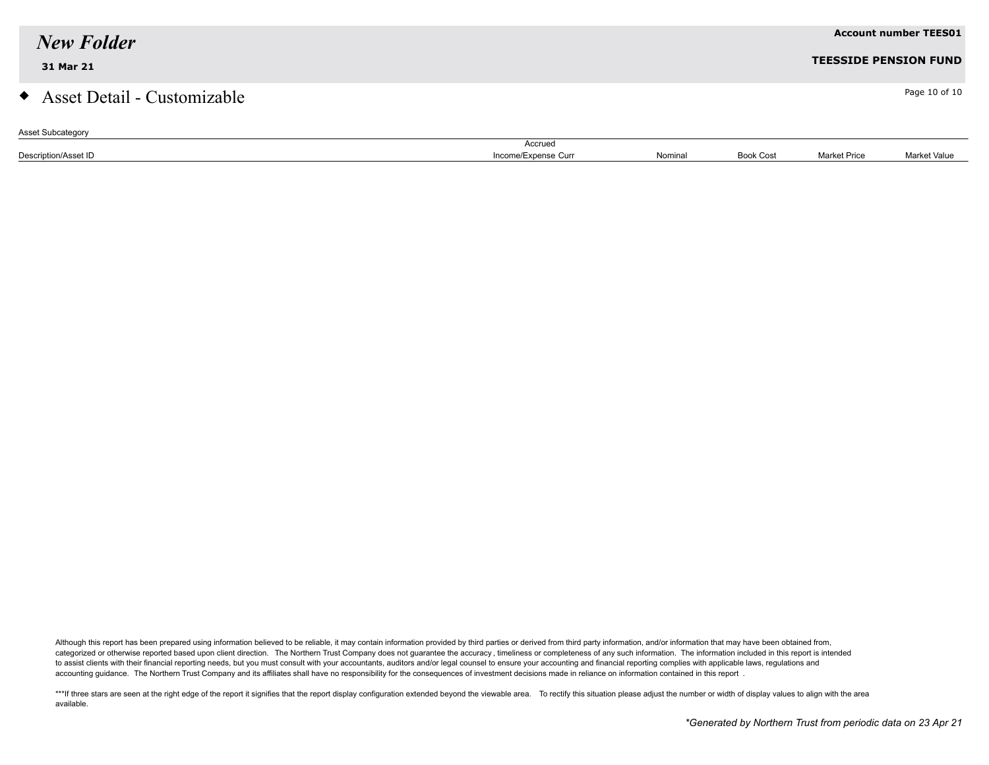| <b>New Folder</b>             |                     |         |                  |                     | <b>Account number TEES01</b> |
|-------------------------------|---------------------|---------|------------------|---------------------|------------------------------|
| 31 Mar 21                     |                     |         |                  |                     | <b>TEESSIDE PENSION FUND</b> |
| • Asset Detail - Customizable |                     |         |                  |                     | Page 10 of 10                |
| <b>Asset Subcategory</b>      | Accrued             |         |                  |                     |                              |
| Description/Asset ID          | Income/Expense Curr | Nominal | <b>Book Cost</b> | <b>Market Price</b> | Market Value                 |

Although this report has been prepared using information believed to be reliable, it may contain information provided by third parties or derived from third party information, and/or information that may have been obtained categorized or otherwise reported based upon client direction. The Northern Trust Company does not guarantee the accuracy, timeliness or completeness of any such information. The information included in this report is inte to assist clients with their financial reporting needs, but you must consult with your accountants, auditors and/or legal counsel to ensure your accounting and financial reporting complies with applicable laws, regulations accounting guidance. The Northern Trust Company and its affiliates shall have no responsibility for the consequences of investment decisions made in reliance on information contained in this report .

\*\*\*If three stars are seen at the right edge of the report it signifies that the report display configuration extended beyond the viewable area. To rectify this situation please adjust the number or width of display values available.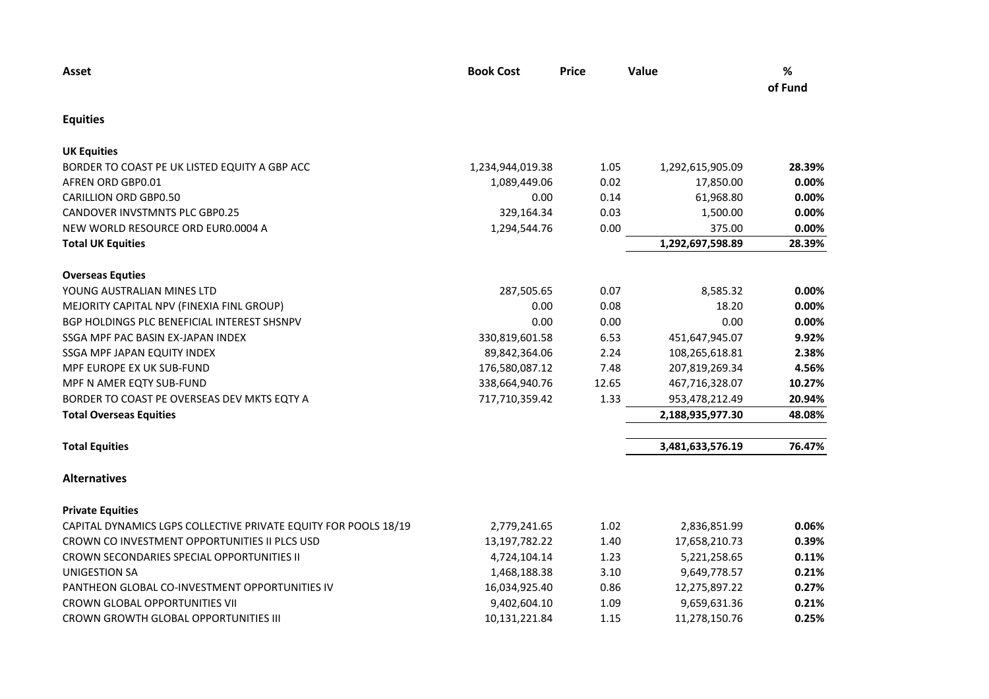| Asset                                                           | <b>Book Cost</b> | <b>Price</b> | Value            | $\%$<br>of Fund |
|-----------------------------------------------------------------|------------------|--------------|------------------|-----------------|
| <b>Equities</b>                                                 |                  |              |                  |                 |
| <b>UK Equities</b>                                              |                  |              |                  |                 |
| BORDER TO COAST PE UK LISTED EQUITY A GBP ACC                   | 1,234,944,019.38 | 1.05         | 1,292,615,905.09 | 28.39%          |
| AFREN ORD GBP0.01                                               | 1,089,449.06     | 0.02         | 17,850.00        | 0.00%           |
| <b>CARILLION ORD GBP0.50</b>                                    | 0.00             | 0.14         | 61,968.80        | 0.00%           |
| <b>CANDOVER INVSTMNTS PLC GBP0.25</b>                           | 329,164.34       | 0.03         | 1,500.00         | 0.00%           |
| NEW WORLD RESOURCE ORD EUR0.0004 A                              | 1,294,544.76     | 0.00         | 375.00           | 0.00%           |
| <b>Total UK Equities</b>                                        |                  |              | 1,292,697,598.89 | 28.39%          |
| <b>Overseas Equties</b>                                         |                  |              |                  |                 |
| YOUNG AUSTRALIAN MINES LTD                                      | 287,505.65       | 0.07         | 8,585.32         | 0.00%           |
| MEJORITY CAPITAL NPV (FINEXIA FINL GROUP)                       | 0.00             | 0.08         | 18.20            | 0.00%           |
| BGP HOLDINGS PLC BENEFICIAL INTEREST SHSNPV                     | 0.00             | 0.00         | 0.00             | 0.00%           |
| SSGA MPF PAC BASIN EX-JAPAN INDEX                               | 330,819,601.58   | 6.53         | 451,647,945.07   | 9.92%           |
| SSGA MPF JAPAN EQUITY INDEX                                     | 89,842,364.06    | 2.24         | 108,265,618.81   | 2.38%           |
| MPF EUROPE EX UK SUB-FUND                                       | 176,580,087.12   | 7.48         | 207,819,269.34   | 4.56%           |
| MPF N AMER EQTY SUB-FUND                                        | 338,664,940.76   | 12.65        | 467,716,328.07   | 10.27%          |
| BORDER TO COAST PE OVERSEAS DEV MKTS EQTY A                     | 717,710,359.42   | 1.33         | 953,478,212.49   | 20.94%          |
| <b>Total Overseas Equities</b>                                  |                  |              | 2,188,935,977.30 | 48.08%          |
| <b>Total Equities</b>                                           |                  |              | 3,481,633,576.19 | 76.47%          |
| <b>Alternatives</b>                                             |                  |              |                  |                 |
| <b>Private Equities</b>                                         |                  |              |                  |                 |
| CAPITAL DYNAMICS LGPS COLLECTIVE PRIVATE EQUITY FOR POOLS 18/19 | 2,779,241.65     | 1.02         | 2,836,851.99     | 0.06%           |
| CROWN CO INVESTMENT OPPORTUNITIES II PLCS USD                   | 13,197,782.22    | 1.40         | 17,658,210.73    | 0.39%           |
| CROWN SECONDARIES SPECIAL OPPORTUNITIES II                      | 4,724,104.14     | 1.23         | 5,221,258.65     | 0.11%           |
| UNIGESTION SA                                                   | 1,468,188.38     | 3.10         | 9,649,778.57     | 0.21%           |
| PANTHEON GLOBAL CO-INVESTMENT OPPORTUNITIES IV                  | 16,034,925.40    | 0.86         | 12,275,897.22    | 0.27%           |
| CROWN GLOBAL OPPORTUNITIES VII                                  | 9,402,604.10     | 1.09         | 9,659,631.36     | 0.21%           |
| CROWN GROWTH GLOBAL OPPORTUNITIES III                           | 10,131,221.84    | 1.15         | 11,278,150.76    | 0.25%           |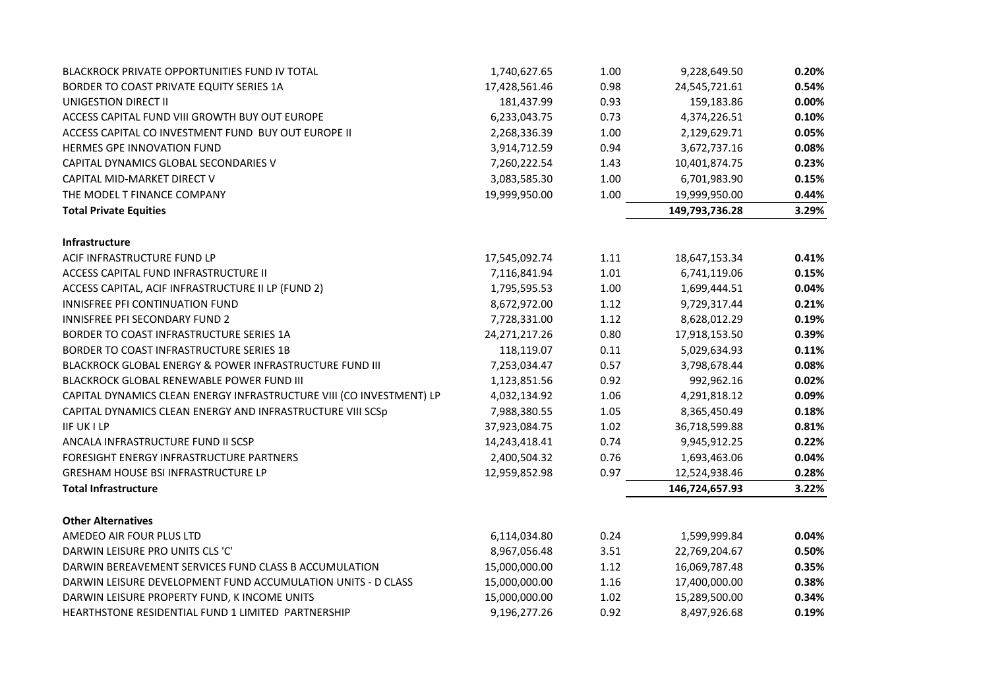|                                                                      |                  | 1.00 |                | 0.20% |
|----------------------------------------------------------------------|------------------|------|----------------|-------|
| BLACKROCK PRIVATE OPPORTUNITIES FUND IV TOTAL                        | 1,740,627.65     |      | 9,228,649.50   |       |
| BORDER TO COAST PRIVATE EQUITY SERIES 1A                             | 17,428,561.46    | 0.98 | 24,545,721.61  | 0.54% |
| UNIGESTION DIRECT II                                                 | 181,437.99       | 0.93 | 159,183.86     | 0.00% |
| ACCESS CAPITAL FUND VIII GROWTH BUY OUT EUROPE                       | 6,233,043.75     | 0.73 | 4,374,226.51   | 0.10% |
| ACCESS CAPITAL CO INVESTMENT FUND BUY OUT EUROPE II                  | 2,268,336.39     | 1.00 | 2,129,629.71   | 0.05% |
| HERMES GPE INNOVATION FUND                                           | 3,914,712.59     | 0.94 | 3,672,737.16   | 0.08% |
| CAPITAL DYNAMICS GLOBAL SECONDARIES V                                | 7,260,222.54     | 1.43 | 10,401,874.75  | 0.23% |
| CAPITAL MID-MARKET DIRECT V                                          | 3,083,585.30     | 1.00 | 6,701,983.90   | 0.15% |
| THE MODEL T FINANCE COMPANY                                          | 19,999,950.00    | 1.00 | 19,999,950.00  | 0.44% |
| <b>Total Private Equities</b>                                        |                  |      | 149,793,736.28 | 3.29% |
| <b>Infrastructure</b>                                                |                  |      |                |       |
| ACIF INFRASTRUCTURE FUND LP                                          | 17,545,092.74    | 1.11 | 18,647,153.34  | 0.41% |
| ACCESS CAPITAL FUND INFRASTRUCTURE II                                | 7,116,841.94     | 1.01 | 6,741,119.06   | 0.15% |
| ACCESS CAPITAL, ACIF INFRASTRUCTURE II LP (FUND 2)                   | 1,795,595.53     | 1.00 | 1,699,444.51   | 0.04% |
| INNISFREE PFI CONTINUATION FUND                                      | 8,672,972.00     | 1.12 | 9,729,317.44   | 0.21% |
| INNISFREE PFI SECONDARY FUND 2                                       | 7,728,331.00     | 1.12 | 8,628,012.29   | 0.19% |
| BORDER TO COAST INFRASTRUCTURE SERIES 1A                             | 24, 271, 217. 26 | 0.80 | 17,918,153.50  | 0.39% |
| BORDER TO COAST INFRASTRUCTURE SERIES 1B                             | 118,119.07       | 0.11 | 5,029,634.93   | 0.11% |
| BLACKROCK GLOBAL ENERGY & POWER INFRASTRUCTURE FUND III              | 7,253,034.47     | 0.57 | 3,798,678.44   | 0.08% |
| BLACKROCK GLOBAL RENEWABLE POWER FUND III                            | 1,123,851.56     | 0.92 | 992,962.16     | 0.02% |
| CAPITAL DYNAMICS CLEAN ENERGY INFRASTRUCTURE VIII (CO INVESTMENT) LP | 4,032,134.92     | 1.06 | 4,291,818.12   | 0.09% |
| CAPITAL DYNAMICS CLEAN ENERGY AND INFRASTRUCTURE VIII SCSp           | 7,988,380.55     | 1.05 | 8,365,450.49   | 0.18% |
| <b>IIF UK I LP</b>                                                   | 37,923,084.75    | 1.02 | 36,718,599.88  | 0.81% |
| ANCALA INFRASTRUCTURE FUND II SCSP                                   | 14,243,418.41    | 0.74 | 9,945,912.25   | 0.22% |
| FORESIGHT ENERGY INFRASTRUCTURE PARTNERS                             | 2,400,504.32     | 0.76 | 1,693,463.06   | 0.04% |
| <b>GRESHAM HOUSE BSI INFRASTRUCTURE LP</b>                           | 12,959,852.98    | 0.97 | 12,524,938.46  | 0.28% |
| <b>Total Infrastructure</b>                                          |                  |      | 146,724,657.93 | 3.22% |
| <b>Other Alternatives</b>                                            |                  |      |                |       |
| AMEDEO AIR FOUR PLUS LTD                                             | 6,114,034.80     | 0.24 | 1,599,999.84   | 0.04% |
| DARWIN LEISURE PRO UNITS CLS 'C'                                     | 8,967,056.48     | 3.51 | 22,769,204.67  | 0.50% |
| DARWIN BEREAVEMENT SERVICES FUND CLASS B ACCUMULATION                | 15,000,000.00    | 1.12 | 16,069,787.48  | 0.35% |
| DARWIN LEISURE DEVELOPMENT FUND ACCUMULATION UNITS - D CLASS         | 15,000,000.00    | 1.16 | 17,400,000.00  | 0.38% |
| DARWIN LEISURE PROPERTY FUND, K INCOME UNITS                         | 15,000,000.00    | 1.02 | 15,289,500.00  | 0.34% |
| HEARTHSTONE RESIDENTIAL FUND 1 LIMITED PARTNERSHIP                   | 9,196,277.26     | 0.92 | 8,497,926.68   | 0.19% |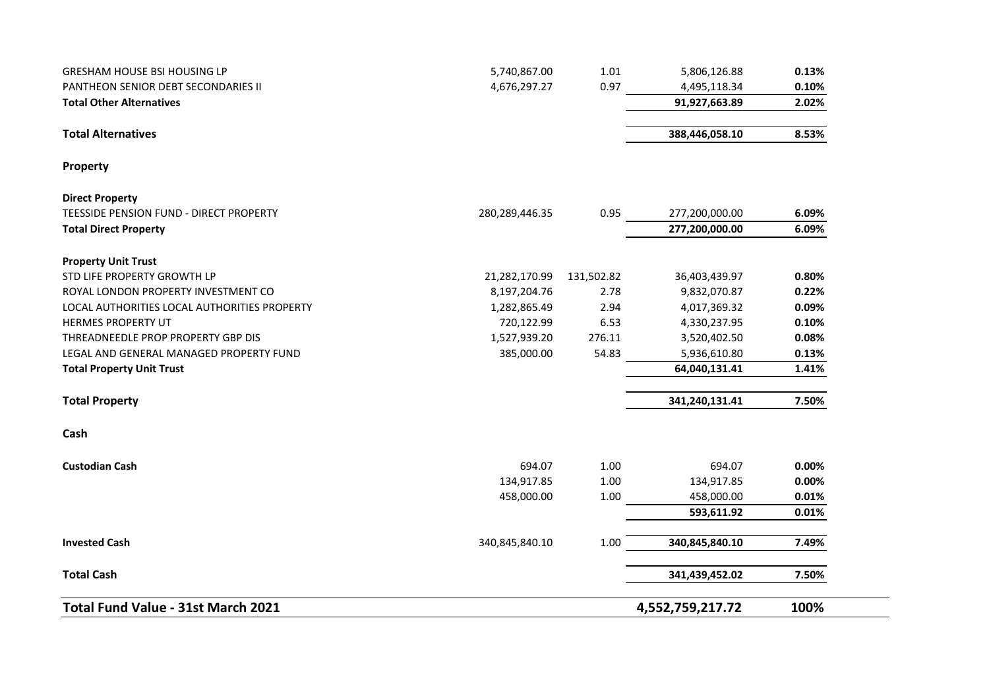| 100%  | 4,552,759,217.72 |            |                | Total Fund Value - 31st March 2021                                |
|-------|------------------|------------|----------------|-------------------------------------------------------------------|
| 7.50% | 341,439,452.02   |            |                | <b>Total Cash</b>                                                 |
| 7.49% | 340,845,840.10   | 1.00       | 340,845,840.10 | <b>Invested Cash</b>                                              |
| 0.01% | 593,611.92       |            |                |                                                                   |
| 0.01% | 458,000.00       | 1.00       | 458,000.00     |                                                                   |
| 0.00% | 134,917.85       | 1.00       | 134,917.85     |                                                                   |
| 0.00% | 694.07           | 1.00       | 694.07         | <b>Custodian Cash</b>                                             |
|       |                  |            |                | Cash                                                              |
| 7.50% | 341,240,131.41   |            |                | <b>Total Property</b>                                             |
| 1.41% | 64,040,131.41    |            |                | <b>Total Property Unit Trust</b>                                  |
| 0.13% | 5,936,610.80     | 54.83      | 385,000.00     | LEGAL AND GENERAL MANAGED PROPERTY FUND                           |
| 0.08% | 3,520,402.50     | 276.11     | 1,527,939.20   | THREADNEEDLE PROP PROPERTY GBP DIS                                |
| 0.10% | 4,330,237.95     | 6.53       | 720,122.99     | HERMES PROPERTY UT                                                |
| 0.09% | 4,017,369.32     | 2.94       | 1,282,865.49   | LOCAL AUTHORITIES LOCAL AUTHORITIES PROPERTY                      |
| 0.22% | 9,832,070.87     | 2.78       | 8,197,204.76   | ROYAL LONDON PROPERTY INVESTMENT CO                               |
| 0.80% | 36,403,439.97    | 131,502.82 | 21,282,170.99  | <b>Property Unit Trust</b><br>STD LIFE PROPERTY GROWTH LP         |
| 6.09% | 277,200,000.00   |            |                | <b>Total Direct Property</b>                                      |
| 6.09% | 277,200,000.00   | 0.95       | 280,289,446.35 | <b>Direct Property</b><br>TEESSIDE PENSION FUND - DIRECT PROPERTY |
|       |                  |            |                |                                                                   |
|       |                  |            |                | Property                                                          |
| 8.53% | 388,446,058.10   |            |                | <b>Total Alternatives</b>                                         |
| 2.02% | 91,927,663.89    |            |                | <b>Total Other Alternatives</b>                                   |
| 0.10% |                  |            |                |                                                                   |
| 0.13% | 5,806,126.88     | 1.01       | 5,740,867.00   | <b>GRESHAM HOUSE BSI HOUSING LP</b>                               |
|       | 4,495,118.34     | 0.97       | 4,676,297.27   | PANTHEON SENIOR DEBT SECONDARIES II                               |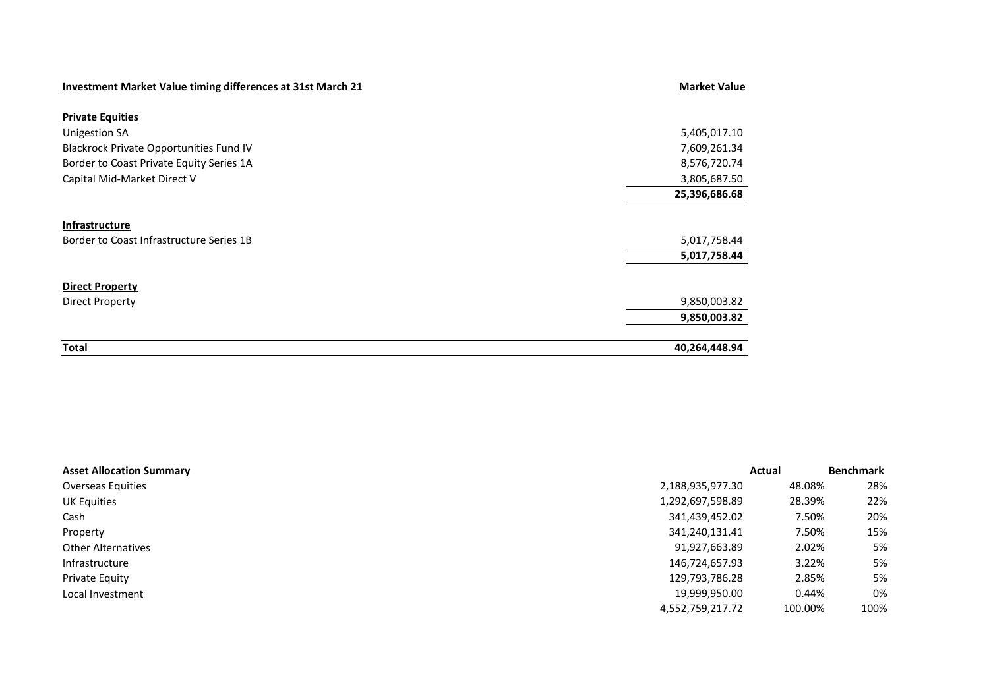| <b>Investment Market Value timing differences at 31st March 21</b> | <b>Market Value</b> |
|--------------------------------------------------------------------|---------------------|
| <b>Private Equities</b>                                            |                     |
| <b>Unigestion SA</b>                                               | 5,405,017.10        |
| Blackrock Private Opportunities Fund IV                            | 7,609,261.34        |
| Border to Coast Private Equity Series 1A                           | 8,576,720.74        |
| Capital Mid-Market Direct V                                        | 3,805,687.50        |
|                                                                    | 25,396,686.68       |
| <b>Infrastructure</b><br>Border to Coast Infrastructure Series 1B  | 5,017,758.44        |
|                                                                    | 5,017,758.44        |
| <b>Direct Property</b>                                             |                     |
| <b>Direct Property</b>                                             | 9,850,003.82        |
|                                                                    | 9,850,003.82        |
| <b>Total</b>                                                       | 40,264,448.94       |

| <b>Asset Allocation Summary</b> |                  | Actual  | <b>Benchmark</b> |
|---------------------------------|------------------|---------|------------------|
| <b>Overseas Equities</b>        | 2,188,935,977.30 | 48.08%  | 28%              |
| UK Equities                     | 1,292,697,598.89 | 28.39%  | 22%              |
| Cash                            | 341,439,452.02   | 7.50%   | 20%              |
| Property                        | 341,240,131.41   | 7.50%   | 15%              |
| <b>Other Alternatives</b>       | 91,927,663.89    | 2.02%   | 5%               |
| Infrastructure                  | 146,724,657.93   | 3.22%   | 5%               |
| <b>Private Equity</b>           | 129,793,786.28   | 2.85%   | 5%               |
| Local Investment                | 19,999,950.00    | 0.44%   | 0%               |
|                                 | 4,552,759,217.72 | 100.00% | 100%             |